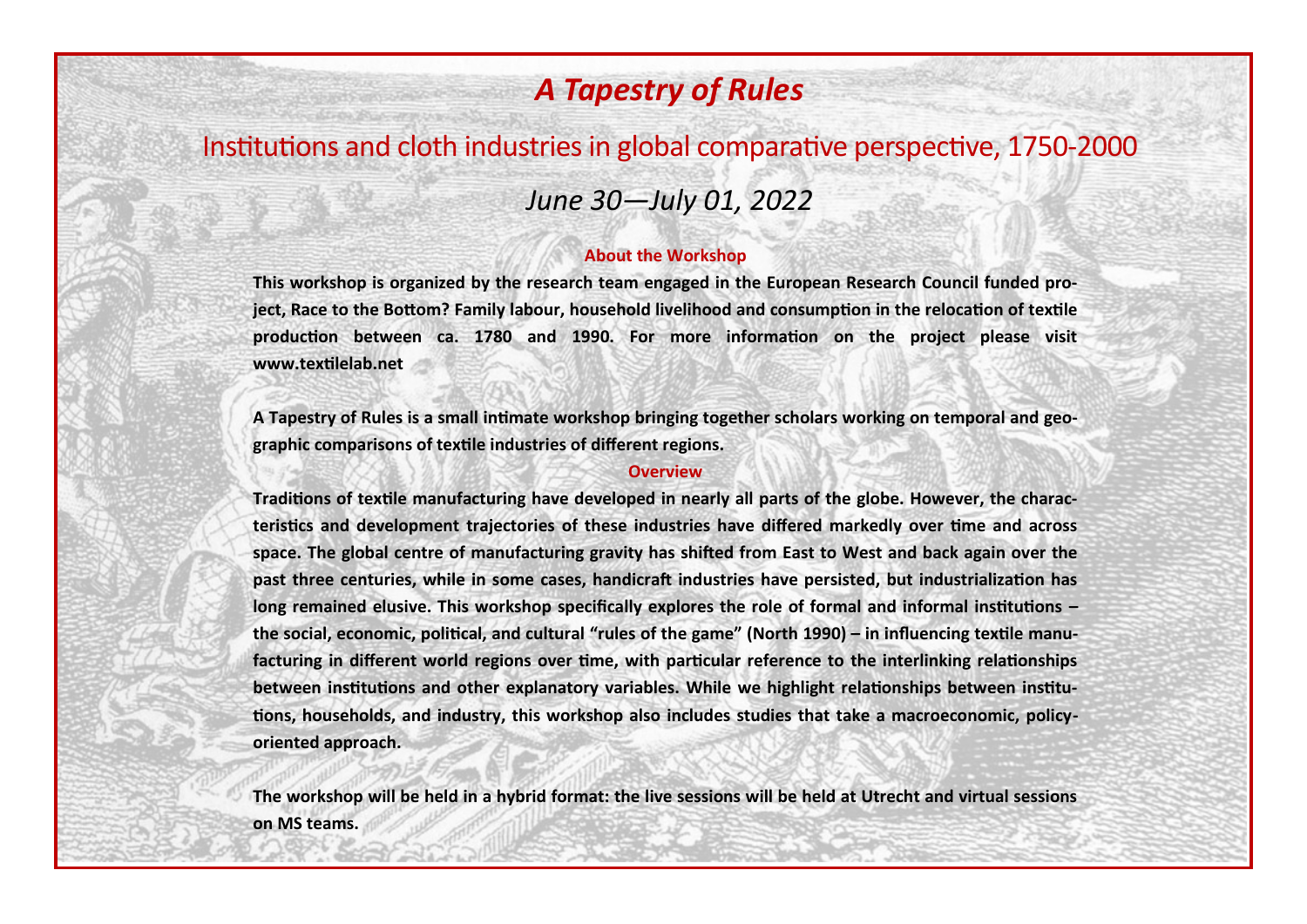# *A Tapestry of Rules*

## Institutions and cloth industries in global comparative perspective, 1750-2000

### *June 30—July 01, 2022*

### **About the Workshop**

**This workshop is organized by the research team engaged in the European Research Council funded project, Race to the Bottom? Family labour, household livelihood and consumption in the relocation of textile production between ca. 1780 and 1990. For more information on the project please visit www.textilelab.net**

**A Tapestry of Rules is a small intimate workshop bringing together scholars working on temporal and geographic comparisons of textile industries of different regions.** 

### **Overview**

**Traditions of textile manufacturing have developed in nearly all parts of the globe. However, the characteristics and development trajectories of these industries have differed markedly over time and across space. The global centre of manufacturing gravity has shifted from East to West and back again over the past three centuries, while in some cases, handicraft industries have persisted, but industrialization has long remained elusive. This workshop specifically explores the role of formal and informal institutions – the social, economic, political, and cultural "rules of the game" (North 1990) – in influencing textile manufacturing in different world regions over time, with particular reference to the interlinking relationships between institutions and other explanatory variables. While we highlight relationships between institutions, households, and industry, this workshop also includes studies that take a macroeconomic, policyoriented approach.** 

**The workshop will be held in a hybrid format: the live sessions will be held at Utrecht and virtual sessions on MS teams.**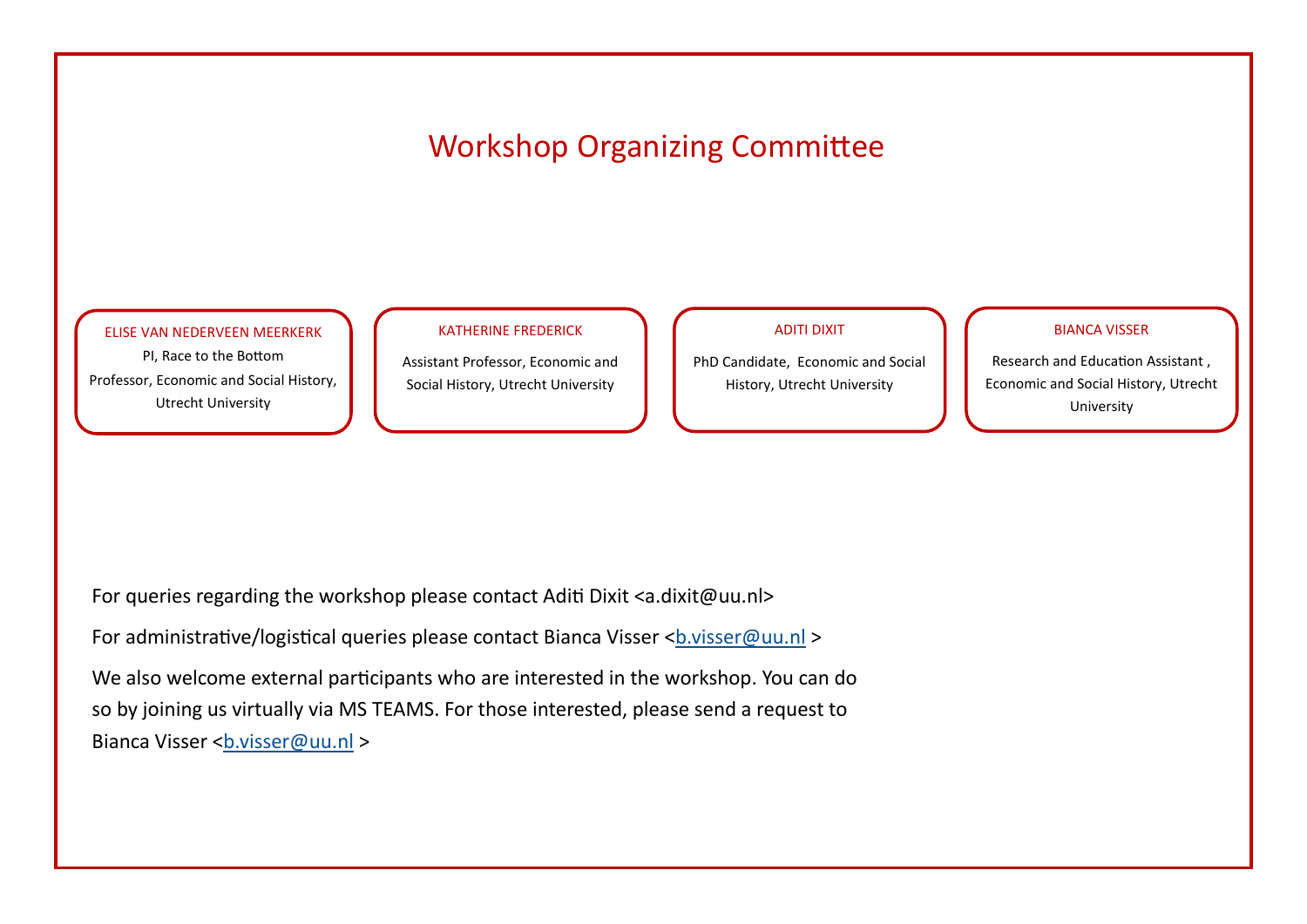# Workshop Organizing Committee

#### ELISE VAN NEDERVEEN MEERKERK

PI, Race to the Bottom Professor, Economic and Social History, Utrecht University

#### KATHERINE FREDERICK

Assistant Professor, Economic and Social History, Utrecht University

### ADITI DIXIT

PhD Candidate, Economic and Social History, Utrecht University

### BIANCA VISSER

Research and Education Assistant , Economic and Social History, Utrecht University

For queries regarding the workshop please contact Aditi Dixit <a.dixit@uu.nl>

For administrative/logistical queries please contact Bianca Visser [<b.visser@uu.nl](mailto:b.visser@uu.nl) >

We also welcome external participants who are interested in the workshop. You can do so by joining us virtually via MS TEAMS. For those interested, please send a request to Bianca Visser <[b.visser@uu.nl](mailto:b.visser@uu.nl) >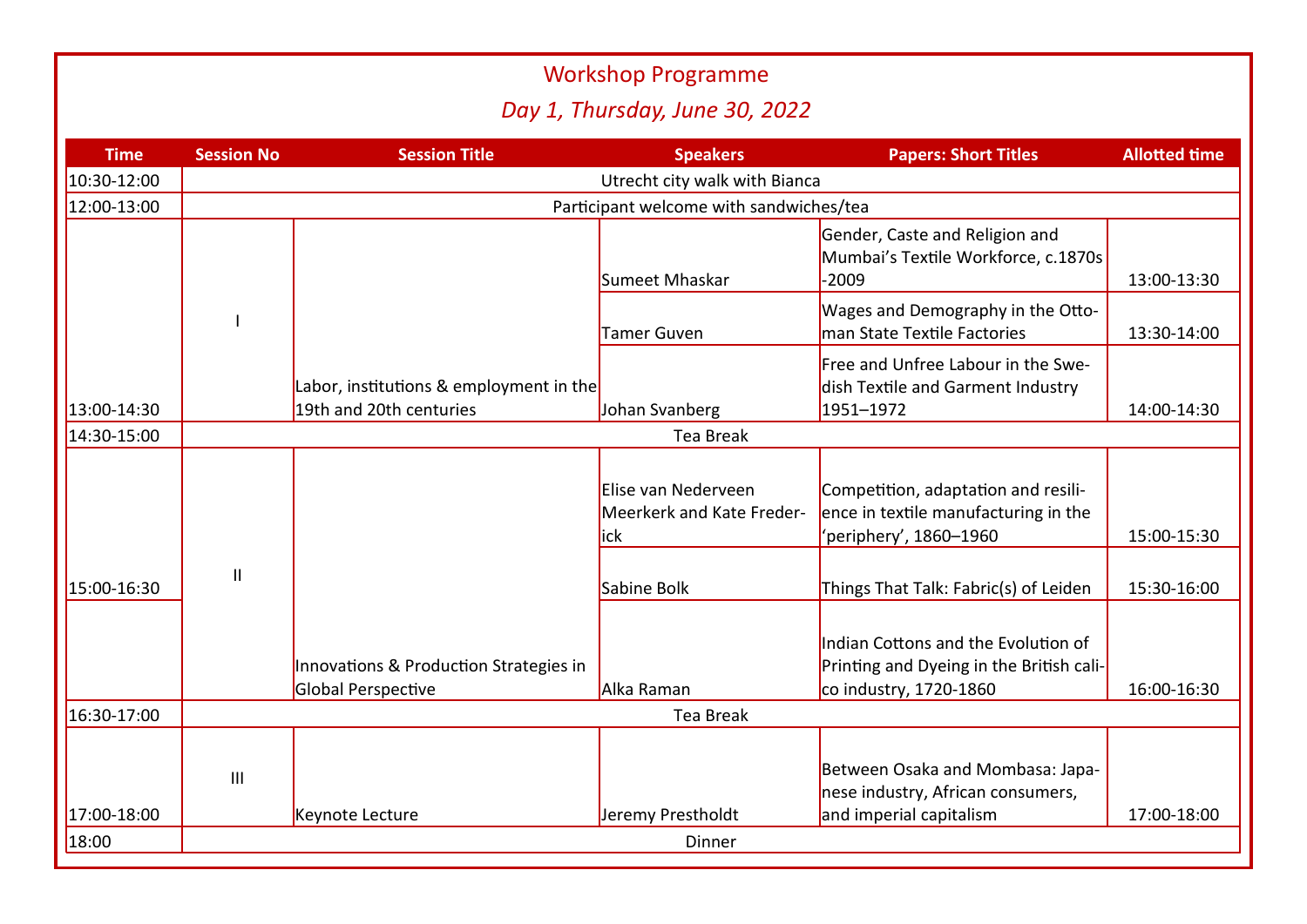|                                |                                         |                                                                    | <b>Workshop Programme</b>                               |                                                                                                           |                      |  |  |  |  |
|--------------------------------|-----------------------------------------|--------------------------------------------------------------------|---------------------------------------------------------|-----------------------------------------------------------------------------------------------------------|----------------------|--|--|--|--|
| Day 1, Thursday, June 30, 2022 |                                         |                                                                    |                                                         |                                                                                                           |                      |  |  |  |  |
| <b>Time</b>                    | <b>Session No</b>                       | <b>Session Title</b>                                               | <b>Speakers</b>                                         | <b>Papers: Short Titles</b>                                                                               | <b>Allotted time</b> |  |  |  |  |
| 10:30-12:00                    | Utrecht city walk with Bianca           |                                                                    |                                                         |                                                                                                           |                      |  |  |  |  |
| 12:00-13:00                    | Participant welcome with sandwiches/tea |                                                                    |                                                         |                                                                                                           |                      |  |  |  |  |
|                                |                                         |                                                                    | Sumeet Mhaskar                                          | Gender, Caste and Religion and<br>Mumbai's Textile Workforce, c.1870s<br>$-2009$                          | 13:00-13:30          |  |  |  |  |
|                                |                                         |                                                                    | Tamer Guven                                             | Wages and Demography in the Otto-<br>man State Textile Factories                                          | 13:30-14:00          |  |  |  |  |
| 13:00-14:30                    |                                         | Labor, institutions & employment in the<br>19th and 20th centuries | Johan Svanberg                                          | Free and Unfree Labour in the Swe-<br>dish Textile and Garment Industry<br>1951-1972                      | 14:00-14:30          |  |  |  |  |
| 14:30-15:00                    | Tea Break                               |                                                                    |                                                         |                                                                                                           |                      |  |  |  |  |
| 15:00-16:30                    | $\mathbf{I}$                            |                                                                    | Elise van Nederveen<br>Meerkerk and Kate Freder-<br>ick | Competition, adaptation and resili-<br>ence in textile manufacturing in the<br>'periphery', 1860-1960     | 15:00-15:30          |  |  |  |  |
|                                |                                         |                                                                    | Sabine Bolk                                             | Things That Talk: Fabric(s) of Leiden                                                                     | 15:30-16:00          |  |  |  |  |
|                                |                                         | Innovations & Production Strategies in<br>Global Perspective       | Alka Raman                                              | Indian Cottons and the Evolution of<br>Printing and Dyeing in the British cali-<br>co industry, 1720-1860 | 16:00-16:30          |  |  |  |  |
| 16:30-17:00                    | <b>Tea Break</b>                        |                                                                    |                                                         |                                                                                                           |                      |  |  |  |  |
| 17:00-18:00                    | $\mathbf{III}$                          | Keynote Lecture                                                    | Jeremy Prestholdt                                       | Between Osaka and Mombasa: Japa-<br>nese industry, African consumers,<br>and imperial capitalism          | 17:00-18:00          |  |  |  |  |
| 18:00                          | Dinner                                  |                                                                    |                                                         |                                                                                                           |                      |  |  |  |  |